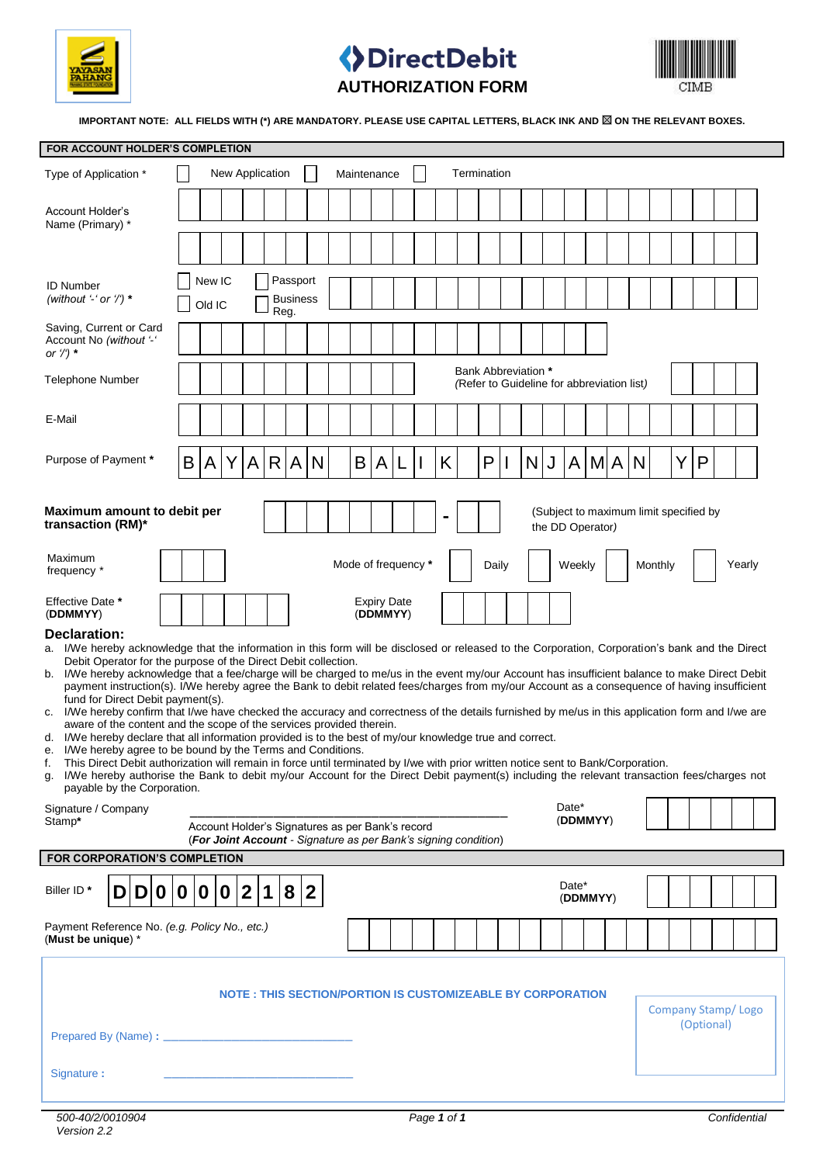

## **DirectDebit AUTHORIZATION FORM**



IMPORTANT NOTE: ALL FIELDS WITH (\*) ARE MANDATORY. PLEASE USE CAPITAL LETTERS, BLACK INK AND **8 ON THE RELEVANT BOXES.** 

| FOR ACCOUNT HOLDER'S COMPLETION                                                                                                                                                                                                                                                                                                                                                                                                                                                                                                                                                                                                                                                                                                                                                                                                                                                                                                                                                                                                                                                                                                                                                                                                                                                                                               |                                                                          |                  |   |              |           |                             |                                                                                                                     |  |   |                                |   |   |       |              |   |                |                   |  |         |                           |     |            |        |  |
|-------------------------------------------------------------------------------------------------------------------------------------------------------------------------------------------------------------------------------------------------------------------------------------------------------------------------------------------------------------------------------------------------------------------------------------------------------------------------------------------------------------------------------------------------------------------------------------------------------------------------------------------------------------------------------------------------------------------------------------------------------------------------------------------------------------------------------------------------------------------------------------------------------------------------------------------------------------------------------------------------------------------------------------------------------------------------------------------------------------------------------------------------------------------------------------------------------------------------------------------------------------------------------------------------------------------------------|--------------------------------------------------------------------------|------------------|---|--------------|-----------|-----------------------------|---------------------------------------------------------------------------------------------------------------------|--|---|--------------------------------|---|---|-------|--------------|---|----------------|-------------------|--|---------|---------------------------|-----|------------|--------|--|
| New Application<br>Termination<br>Maintenance<br>Type of Application *                                                                                                                                                                                                                                                                                                                                                                                                                                                                                                                                                                                                                                                                                                                                                                                                                                                                                                                                                                                                                                                                                                                                                                                                                                                        |                                                                          |                  |   |              |           |                             |                                                                                                                     |  |   |                                |   |   |       |              |   |                |                   |  |         |                           |     |            |        |  |
| Account Holder's<br>Name (Primary) *                                                                                                                                                                                                                                                                                                                                                                                                                                                                                                                                                                                                                                                                                                                                                                                                                                                                                                                                                                                                                                                                                                                                                                                                                                                                                          |                                                                          |                  |   |              |           |                             |                                                                                                                     |  |   |                                |   |   |       |              |   |                |                   |  |         |                           |     |            |        |  |
|                                                                                                                                                                                                                                                                                                                                                                                                                                                                                                                                                                                                                                                                                                                                                                                                                                                                                                                                                                                                                                                                                                                                                                                                                                                                                                                               |                                                                          |                  |   |              |           |                             |                                                                                                                     |  |   |                                |   |   |       |              |   |                |                   |  |         |                           |     |            |        |  |
| <b>ID Number</b><br>(without '-' or '/') $*$                                                                                                                                                                                                                                                                                                                                                                                                                                                                                                                                                                                                                                                                                                                                                                                                                                                                                                                                                                                                                                                                                                                                                                                                                                                                                  |                                                                          | New IC<br>Old IC |   |              | Reg.      | Passport<br><b>Business</b> |                                                                                                                     |  |   |                                |   |   |       |              |   |                |                   |  |         |                           |     |            |        |  |
| Saving, Current or Card<br>Account No (without '-'<br>or $\frac{1}{2}$ *                                                                                                                                                                                                                                                                                                                                                                                                                                                                                                                                                                                                                                                                                                                                                                                                                                                                                                                                                                                                                                                                                                                                                                                                                                                      |                                                                          |                  |   |              |           |                             |                                                                                                                     |  |   |                                |   |   |       |              |   |                |                   |  |         |                           |     |            |        |  |
| Telephone Number                                                                                                                                                                                                                                                                                                                                                                                                                                                                                                                                                                                                                                                                                                                                                                                                                                                                                                                                                                                                                                                                                                                                                                                                                                                                                                              | <b>Bank Abbreviation *</b><br>(Refer to Guideline for abbreviation list) |                  |   |              |           |                             |                                                                                                                     |  |   |                                |   |   |       |              |   |                |                   |  |         |                           |     |            |        |  |
| E-Mail                                                                                                                                                                                                                                                                                                                                                                                                                                                                                                                                                                                                                                                                                                                                                                                                                                                                                                                                                                                                                                                                                                                                                                                                                                                                                                                        |                                                                          |                  |   |              |           |                             |                                                                                                                     |  |   |                                |   |   |       |              |   |                |                   |  |         |                           |     |            |        |  |
| Purpose of Payment *                                                                                                                                                                                                                                                                                                                                                                                                                                                                                                                                                                                                                                                                                                                                                                                                                                                                                                                                                                                                                                                                                                                                                                                                                                                                                                          | B                                                                        | A                | Y | $\mathsf{A}$ |           | R[A]                        | N                                                                                                                   |  | B | $\mathsf{A}$                   | L | K | P     | $\mathsf{l}$ | N | $\mathbf{U}_1$ |                   |  | A M A N |                           | Y l | P          |        |  |
| Maximum amount to debit per<br>(Subject to maximum limit specified by<br>transaction (RM)*<br>the DD Operator)                                                                                                                                                                                                                                                                                                                                                                                                                                                                                                                                                                                                                                                                                                                                                                                                                                                                                                                                                                                                                                                                                                                                                                                                                |                                                                          |                  |   |              |           |                             |                                                                                                                     |  |   |                                |   |   |       |              |   |                |                   |  |         |                           |     |            |        |  |
| Maximum<br>frequency *                                                                                                                                                                                                                                                                                                                                                                                                                                                                                                                                                                                                                                                                                                                                                                                                                                                                                                                                                                                                                                                                                                                                                                                                                                                                                                        |                                                                          |                  |   |              |           |                             |                                                                                                                     |  |   | Mode of frequency *            |   |   | Daily |              |   |                | Weekly            |  |         | Monthly                   |     |            | Yearly |  |
| Effective Date *<br>(DDMMYY)                                                                                                                                                                                                                                                                                                                                                                                                                                                                                                                                                                                                                                                                                                                                                                                                                                                                                                                                                                                                                                                                                                                                                                                                                                                                                                  |                                                                          |                  |   |              |           |                             |                                                                                                                     |  |   | <b>Expiry Date</b><br>(DDMMYY) |   |   |       |              |   |                |                   |  |         |                           |     |            |        |  |
| Declaration:<br>a. I/We hereby acknowledge that the information in this form will be disclosed or released to the Corporation, Corporation's bank and the Direct<br>Debit Operator for the purpose of the Direct Debit collection.<br>I/We hereby acknowledge that a fee/charge will be charged to me/us in the event my/our Account has insufficient balance to make Direct Debit<br>b.<br>payment instruction(s). I/We hereby agree the Bank to debit related fees/charges from my/our Account as a consequence of having insufficient<br>fund for Direct Debit payment(s).<br>I/We hereby confirm that I/we have checked the accuracy and correctness of the details furnished by me/us in this application form and I/we are<br>c.<br>aware of the content and the scope of the services provided therein.<br>d. I/We hereby declare that all information provided is to the best of my/our knowledge true and correct.<br>I/We hereby agree to be bound by the Terms and Conditions.<br>е.<br>This Direct Debit authorization will remain in force until terminated by I/we with prior written notice sent to Bank/Corporation.<br>f.<br>I/We hereby authorise the Bank to debit my/our Account for the Direct Debit payment(s) including the relevant transaction fees/charges not<br>g.<br>payable by the Corporation. |                                                                          |                  |   |              |           |                             |                                                                                                                     |  |   |                                |   |   |       |              |   |                |                   |  |         |                           |     |            |        |  |
| Signature / Company<br>Stamp*                                                                                                                                                                                                                                                                                                                                                                                                                                                                                                                                                                                                                                                                                                                                                                                                                                                                                                                                                                                                                                                                                                                                                                                                                                                                                                 |                                                                          |                  |   |              |           |                             | Account Holder's Signatures as per Bank's record<br>(For Joint Account - Signature as per Bank's signing condition) |  |   |                                |   |   |       |              |   |                | Date*<br>(DDMMYY) |  |         |                           |     |            |        |  |
| FOR CORPORATION'S COMPLETION                                                                                                                                                                                                                                                                                                                                                                                                                                                                                                                                                                                                                                                                                                                                                                                                                                                                                                                                                                                                                                                                                                                                                                                                                                                                                                  |                                                                          |                  |   |              |           |                             |                                                                                                                     |  |   |                                |   |   |       |              |   |                |                   |  |         |                           |     |            |        |  |
| Biller ID <sup>*</sup><br>D 0<br>DI                                                                                                                                                                                                                                                                                                                                                                                                                                                                                                                                                                                                                                                                                                                                                                                                                                                                                                                                                                                                                                                                                                                                                                                                                                                                                           | $\bf{0}$                                                                 | $\mathbf{0}$     | 0 | $\mathbf{2}$ | $\vert$ 1 | 8 2                         |                                                                                                                     |  |   |                                |   |   |       |              |   |                | Date*<br>(DDMMYY) |  |         |                           |     |            |        |  |
| Payment Reference No. (e.g. Policy No., etc.)<br>(Must be unique) *                                                                                                                                                                                                                                                                                                                                                                                                                                                                                                                                                                                                                                                                                                                                                                                                                                                                                                                                                                                                                                                                                                                                                                                                                                                           |                                                                          |                  |   |              |           |                             |                                                                                                                     |  |   |                                |   |   |       |              |   |                |                   |  |         |                           |     |            |        |  |
| Signature:                                                                                                                                                                                                                                                                                                                                                                                                                                                                                                                                                                                                                                                                                                                                                                                                                                                                                                                                                                                                                                                                                                                                                                                                                                                                                                                    |                                                                          |                  |   |              |           |                             | NOTE : THIS SECTION/PORTION IS CUSTOMIZEABLE BY CORPORATION                                                         |  |   |                                |   |   |       |              |   |                |                   |  |         | <b>Company Stamp/Logo</b> |     | (Optional) |        |  |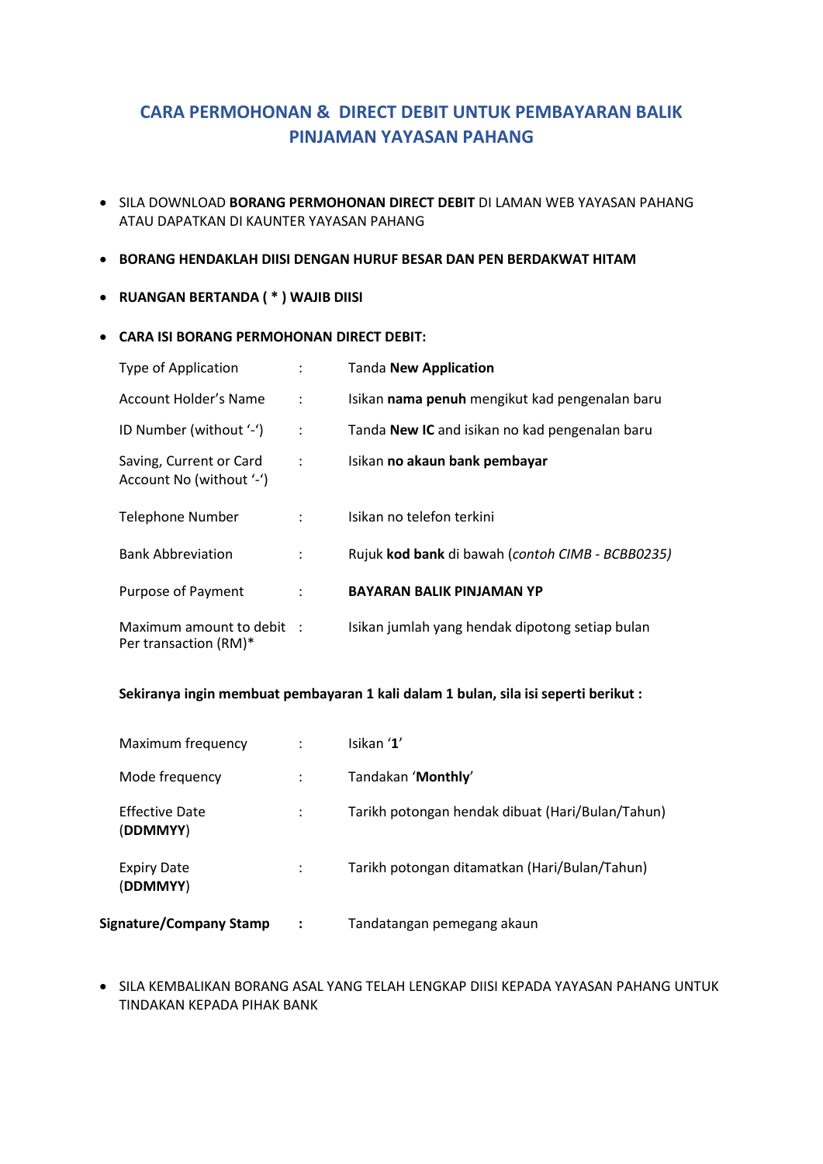## **CARA PERMOHONAN & DIRECT DEBIT UNTUK PEMBAYARAN BALIK PINJAMAN YAYASAN PAHANG**

- SILA DOWNLOAD **BORANG PERMOHONAN DIRECT DEBIT** DI LAMAN WEB YAYASAN PAHANG ATAU DAPATKAN DI KAUNTER YAYASAN PAHANG
- **BORANG HENDAKLAH DIISI DENGAN HURUF BESAR DAN PEN BERDAKWAT HITAM**
- **RUANGAN BERTANDA ( \* ) WAJIB DIISI**
- **CARA ISI BORANG PERMOHONAN DIRECT DEBIT:**

| Type of Application                                 |                      | <b>Tanda New Application</b>                     |
|-----------------------------------------------------|----------------------|--------------------------------------------------|
| Account Holder's Name                               | $\ddot{\phantom{a}}$ | Isikan nama penuh mengikut kad pengenalan baru   |
| ID Number (without '-')                             | $\ddot{\cdot}$       | Tanda New IC and isikan no kad pengenalan baru   |
| Saving, Current or Card<br>Account No (without '-') | $\ddot{\phantom{a}}$ | Isikan no akaun bank pembayar                    |
| <b>Telephone Number</b>                             | $\ddot{\phantom{a}}$ | Isikan no telefon terkini                        |
| <b>Bank Abbreviation</b>                            | $\ddot{\phantom{a}}$ | Rujuk kod bank di bawah (contoh CIMB - BCBB0235) |
| Purpose of Payment                                  | $\ddot{\phantom{a}}$ | <b>BAYARAN BALIK PINJAMAN YP</b>                 |
| Maximum amount to debit :<br>Per transaction (RM)*  |                      | Isikan jumlah yang hendak dipotong setiap bulan  |

## **Sekiranya ingin membuat pembayaran 1 kali dalam 1 bulan, sila isi seperti berikut :**

| Maximum frequency                 | Isikan '1'                                       |
|-----------------------------------|--------------------------------------------------|
| Mode frequency                    | Tandakan 'Monthly'                               |
| <b>Effective Date</b><br>(DDMMYY) | Tarikh potongan hendak dibuat (Hari/Bulan/Tahun) |
| <b>Expiry Date</b><br>(DDMMYY)    | Tarikh potongan ditamatkan (Hari/Bulan/Tahun)    |
| <b>Signature/Company Stamp</b>    | Tandatangan pemegang akaun                       |

 $\bullet$  SILA KEMBALIKAN BORANG ASAL YANG TELAH LENGKAP DIISI KEPADA YAYASAN PAHANG UNTUK TINDAKAN KEPADA PIHAK BANK